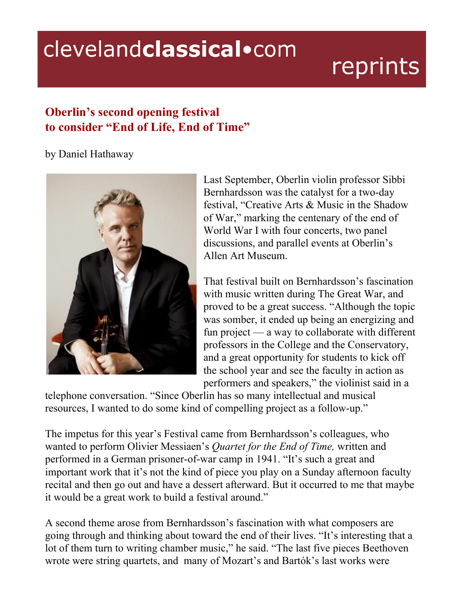# clevelandclassical.com

# reprints

# **Oberlin's second opening festival to consider "End of Life, End of Time"**

#### by Daniel Hathaway



Last September, Oberlin violin professor Sibbi Bernhardsson was the catalyst for a two-day festival, "Creative Arts & Music in the Shadow of War," marking the centenary of the end of World War I with four concerts, two panel discussions, and parallel events at Oberlin's Allen Art Museum.

That festival built on Bernhardsson's fascination with music written during The Great War, and proved to be a great success. "Although the topic was somber, it ended up being an energizing and fun project — a way to collaborate with different professors in the College and the Conservatory, and a great opportunity for students to kick off the school year and see the faculty in action as performers and speakers," the violinist said in a

telephone conversation. "Since Oberlin has so many intellectual and musical resources, I wanted to do some kind of compelling project as a follow-up."

The impetus for this year's Festival came from Bernhardsson's colleagues, who wanted to perform Olivier Messiaen's *Quartet for the End of Time,* written and performed in a German prisoner-of-war camp in 1941. "It's such a great and important work that it's not the kind of piece you play on a Sunday afternoon faculty recital and then go out and have a dessert afterward. But it occurred to me that maybe it would be a great work to build a festival around."

A second theme arose from Bernhardsson's fascination with what composers are going through and thinking about toward the end of their lives. "It's interesting that a lot of them turn to writing chamber music," he said. "The last five pieces Beethoven wrote were string quartets, and many of Mozart's and Bartók's last works were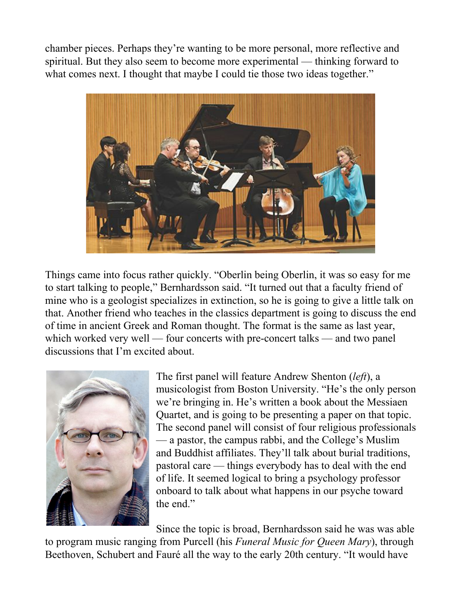chamber pieces. Perhaps they're wanting to be more personal, more reflective and spiritual. But they also seem to become more experimental — thinking forward to what comes next. I thought that maybe I could tie those two ideas together."



Things came into focus rather quickly. "Oberlin being Oberlin, it was so easy for me to start talking to people," Bernhardsson said. "It turned out that a faculty friend of mine who is a geologist specializes in extinction, so he is going to give a little talk on that. Another friend who teaches in the classics department is going to discuss the end of time in ancient Greek and Roman thought. The format is the same as last year, which worked very well — four concerts with pre-concert talks — and two panel discussions that I'm excited about.



The first panel will feature Andrew Shenton (*left*), a musicologist from Boston University. "He's the only person we're bringing in. He's written a book about the Messiaen Quartet, and is going to be presenting a paper on that topic. The second panel will consist of four religious professionals — a pastor, the campus rabbi, and the College's Muslim and Buddhist affiliates. They'll talk about burial traditions, pastoral care — things everybody has to deal with the end of life. It seemed logical to bring a psychology professor onboard to talk about what happens in our psyche toward the end."

Since the topic is broad, Bernhardsson said he was was able

to program music ranging from Purcell (his *Funeral Music for Queen Mary*), through Beethoven, Schubert and Fauré all the way to the early 20th century. "It would have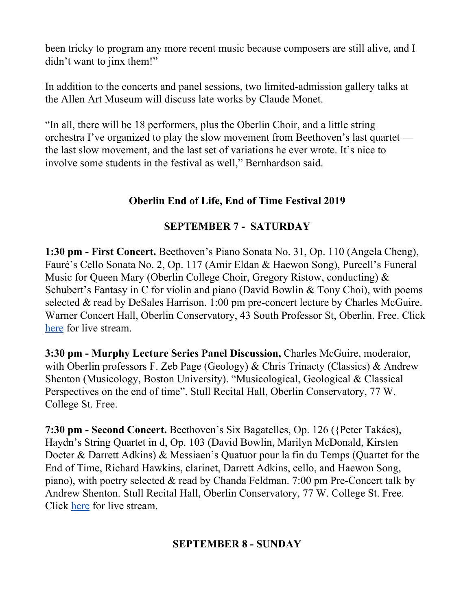been tricky to program any more recent music because composers are still alive, and I didn't want to jinx them!"

In addition to the concerts and panel sessions, two limited-admission gallery talks at the Allen Art Museum will discuss late works by Claude Monet.

"In all, there will be 18 performers, plus the Oberlin Choir, and a little string orchestra I've organized to play the slow movement from Beethoven's last quartet the last slow movement, and the last set of variations he ever wrote. It's nice to involve some students in the festival as well," Bernhardson said.

## **Oberlin End of Life, End of Time Festival 2019**

# **SEPTEMBER 7 - SATURDAY**

**1:30 pm - First Concert.** Beethoven's Piano Sonata No. 31, Op. 110 (Angela Cheng), Fauré's Cello Sonata No. 2, Op. 117 (Amir Eldan & Haewon Song), Purcell's Funeral Music for Queen Mary (Oberlin College Choir, Gregory Ristow, conducting) & Schubert's Fantasy in C for violin and piano (David Bowlin & Tony Choi), with poems selected & read by DeSales Harrison. 1:00 pm pre-concert lecture by Charles McGuire. Warner Concert Hall, Oberlin Conservatory, 43 South Professor St, Oberlin. Free. Click [here](https://www.oberlin.edu/livestream/warner) for live stream.

**3:30 pm - Murphy Lecture Series Panel Discussion,** Charles McGuire, moderator, with Oberlin professors F. Zeb Page (Geology) & Chris Trinacty (Classics) & Andrew Shenton (Musicology, Boston University). "Musicological, Geological & Classical Perspectives on the end of time". Stull Recital Hall, Oberlin Conservatory, 77 W. College St. Free.

**7:30 pm - Second Concert.** Beethoven's Six Bagatelles, Op. 126 ({Peter Takács), Haydn's String Quartet in d, Op. 103 (David Bowlin, Marilyn McDonald, Kirsten Docter & Darrett Adkins) & Messiaen's Quatuor pour la fin du Temps (Quartet for the End of Time, Richard Hawkins, clarinet, Darrett Adkins, cello, and Haewon Song, piano), with poetry selected & read by Chanda Feldman. 7:00 pm Pre-Concert talk by Andrew Shenton. Stull Recital Hall, Oberlin Conservatory, 77 W. College St. Free. Click [here](https://www.oberlin.edu/livestream/stull) for live stream.

## **SEPTEMBER 8 - SUNDAY**